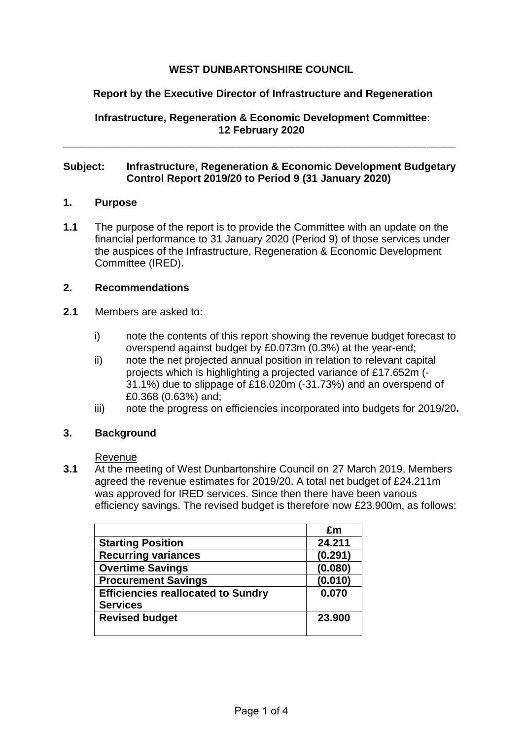# **WEST DUNBARTONSHIRE COUNCIL**

# **Report by the Executive Director of Infrastructure and Regeneration**

**Infrastructure, Regeneration & Economic Development Committee: 12 February 2020**

## **Subject: Infrastructure, Regeneration & Economic Development Budgetary Control Report 2019/20 to Period 9 (31 January 2020)**

\_\_\_\_\_\_\_\_\_\_\_\_\_\_\_\_\_\_\_\_\_\_\_\_\_\_\_\_\_\_\_\_\_\_\_\_\_\_\_\_\_\_\_\_\_\_\_\_\_\_\_\_\_\_\_\_\_\_\_\_\_\_\_\_\_\_\_

## **1. Purpose**

**1.1** The purpose of the report is to provide the Committee with an update on the financial performance to 31 January 2020 (Period 9) of those services under the auspices of the Infrastructure, Regeneration & Economic Development Committee (IRED).

## **2. Recommendations**

- **2.1** Members are asked to:
	- i) note the contents of this report showing the revenue budget forecast to overspend against budget by £0.073m (0.3%) at the year-end;
	- ii) note the net projected annual position in relation to relevant capital projects which is highlighting a projected variance of £17.652m (- 31.1%) due to slippage of £18.020m (-31.73%) and an overspend of £0.368 (0.63%) and;
	- iii) note the progress on efficiencies incorporated into budgets for 2019/20**.**

## **3. Background**

Revenue

**3.1** At the meeting of West Dunbartonshire Council on 27 March 2019, Members agreed the revenue estimates for 2019/20. A total net budget of £24.211m was approved for IRED services. Since then there have been various efficiency savings. The revised budget is therefore now £23.900m, as follows:

|                                           | £m      |
|-------------------------------------------|---------|
| <b>Starting Position</b>                  | 24.211  |
| <b>Recurring variances</b>                | (0.291) |
| <b>Overtime Savings</b>                   | (0.080) |
| <b>Procurement Savings</b>                | (0.010) |
| <b>Efficiencies reallocated to Sundry</b> | 0.070   |
| <b>Services</b>                           |         |
| <b>Revised budget</b>                     | 23,900  |
|                                           |         |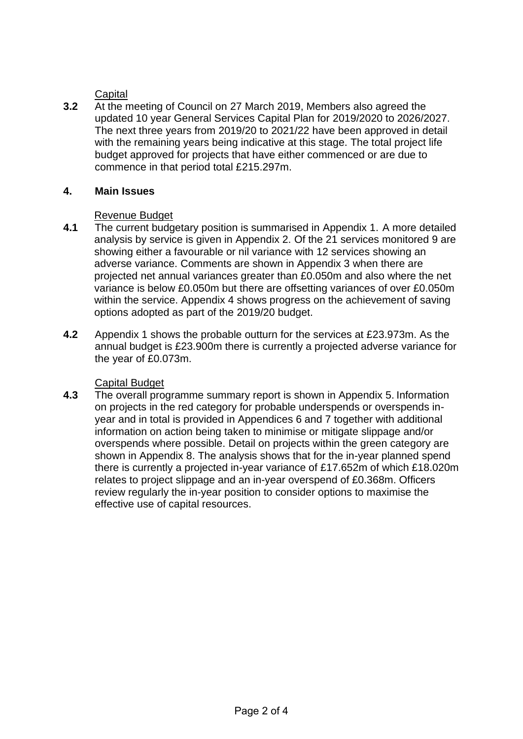**Capital** 

**3.2** At the meeting of Council on 27 March 2019, Members also agreed the updated 10 year General Services Capital Plan for 2019/2020 to 2026/2027. The next three years from 2019/20 to 2021/22 have been approved in detail with the remaining years being indicative at this stage. The total project life budget approved for projects that have either commenced or are due to commence in that period total £215.297m.

## **4. Main Issues**

## Revenue Budget

- **4.1** The current budgetary position is summarised in Appendix 1. A more detailed analysis by service is given in Appendix 2. Of the 21 services monitored 9 are showing either a favourable or nil variance with 12 services showing an adverse variance. Comments are shown in Appendix 3 when there are projected net annual variances greater than £0.050m and also where the net variance is below £0.050m but there are offsetting variances of over £0.050m within the service. Appendix 4 shows progress on the achievement of saving options adopted as part of the 2019/20 budget.
- **4.2** Appendix 1 shows the probable outturn for the services at £23.973m. As the annual budget is £23.900m there is currently a projected adverse variance for the year of £0.073m.

## Capital Budget

**4.3** The overall programme summary report is shown in Appendix 5. Information on projects in the red category for probable underspends or overspends inyear and in total is provided in Appendices 6 and 7 together with additional information on action being taken to minimise or mitigate slippage and/or overspends where possible. Detail on projects within the green category are shown in Appendix 8. The analysis shows that for the in-year planned spend there is currently a projected in-year variance of £17.652m of which £18.020m relates to project slippage and an in-year overspend of £0.368m. Officers review regularly the in-year position to consider options to maximise the effective use of capital resources.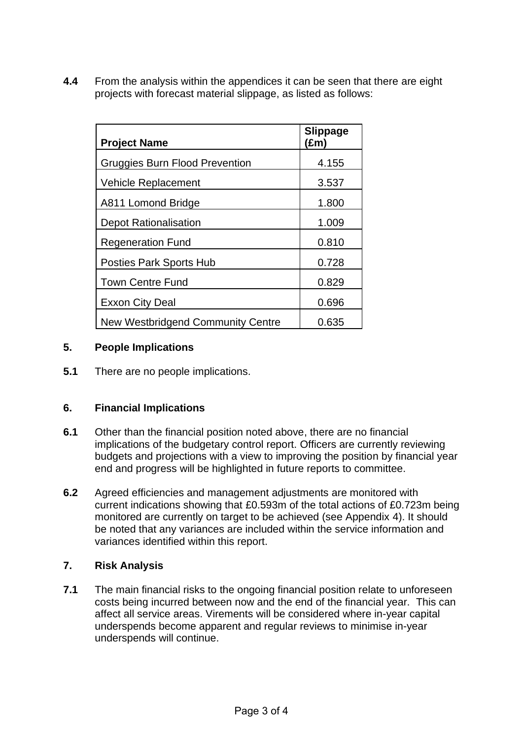**4.4** From the analysis within the appendices it can be seen that there are eight projects with forecast material slippage, as listed as follows:

| <b>Project Name</b>                   | <b>Slippage</b><br>$(\text{Em})$ |
|---------------------------------------|----------------------------------|
| <b>Gruggies Burn Flood Prevention</b> | 4.155                            |
| <b>Vehicle Replacement</b>            | 3.537                            |
| A811 Lomond Bridge                    | 1.800                            |
| <b>Depot Rationalisation</b>          | 1.009                            |
| <b>Regeneration Fund</b>              | 0.810                            |
| <b>Posties Park Sports Hub</b>        | 0.728                            |
| Town Centre Fund                      | 0.829                            |
| <b>Exxon City Deal</b>                | 0.696                            |
| New Westbridgend Community Centre     | 0.635                            |

## **5. People Implications**

**5.1** There are no people implications.

## **6. Financial Implications**

- **6.1** Other than the financial position noted above, there are no financial implications of the budgetary control report. Officers are currently reviewing budgets and projections with a view to improving the position by financial year end and progress will be highlighted in future reports to committee.
- **6.2** Agreed efficiencies and management adjustments are monitored with current indications showing that £0.593m of the total actions of £0.723m being monitored are currently on target to be achieved (see Appendix 4). It should be noted that any variances are included within the service information and variances identified within this report.

# **7. Risk Analysis**

**7.1** The main financial risks to the ongoing financial position relate to unforeseen costs being incurred between now and the end of the financial year. This can affect all service areas. Virements will be considered where in-year capital underspends become apparent and regular reviews to minimise in-year underspends will continue.